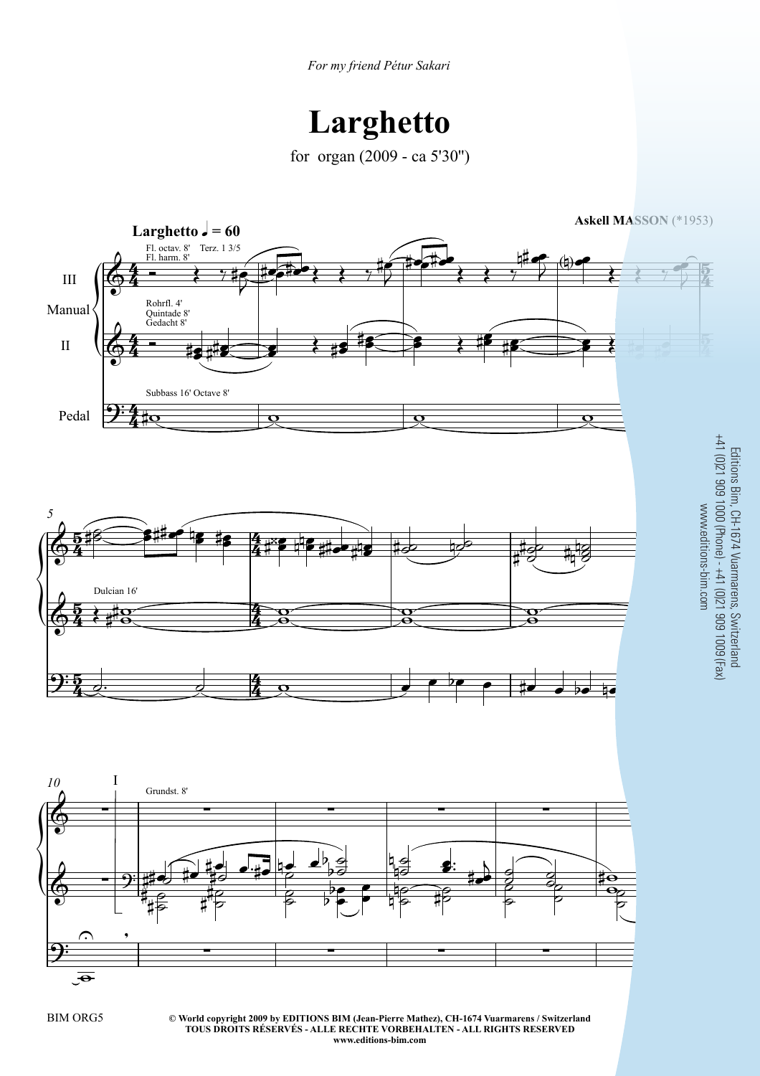## **Larghetto**

for organ (2009 - ca 5'30'')



**© World copyright 2009 by EDITIONS BIM (Jean-Pierre Mathez), CH-1674 Vuarmarens / Switzerland** BIM ORG5 3 **TOUS DROITS RÉSERVÉS - ALLE RECHTE VORBEHALTEN - ALL RIGHTS RESERVED www.editions-bim.com**